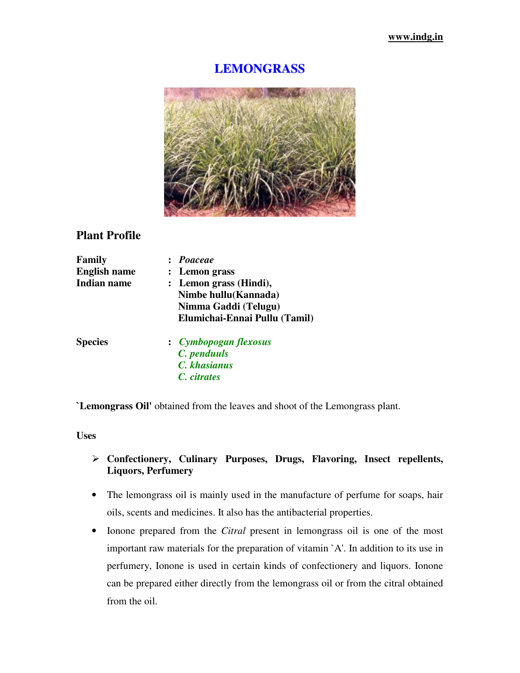## **LEMONGRASS**



# **Plant Profile**

| Family              | : Poaceae                     |  |  |
|---------------------|-------------------------------|--|--|
| <b>English name</b> | : Lemon grass                 |  |  |
| <b>Indian name</b>  | : Lemon grass (Hindi),        |  |  |
|                     | Nimbe hullu(Kannada)          |  |  |
|                     | Nimma Gaddi (Telugu)          |  |  |
|                     | Elumichai-Ennai Pullu (Tamil) |  |  |
| <b>Species</b>      | : Cymbopogan flexosus         |  |  |
|                     | C. penduuls                   |  |  |
|                     | C. khasianus                  |  |  |
|                     | C. citrates                   |  |  |
|                     |                               |  |  |

**`Lemongrass Oil'** obtained from the leaves and shoot of the Lemongrass plant.

**Uses** 

## **Confectionery, Culinary Purposes, Drugs, Flavoring, Insect repellents, Liquors, Perfumery**

- The lemongrass oil is mainly used in the manufacture of perfume for soaps, hair oils, scents and medicines. It also has the antibacterial properties.
- Ionone prepared from the *Citral* present in lemongrass oil is one of the most important raw materials for the preparation of vitamin `A'. In addition to its use in perfumery, Ionone is used in certain kinds of confectionery and liquors. Ionone can be prepared either directly from the lemongrass oil or from the citral obtained from the oil.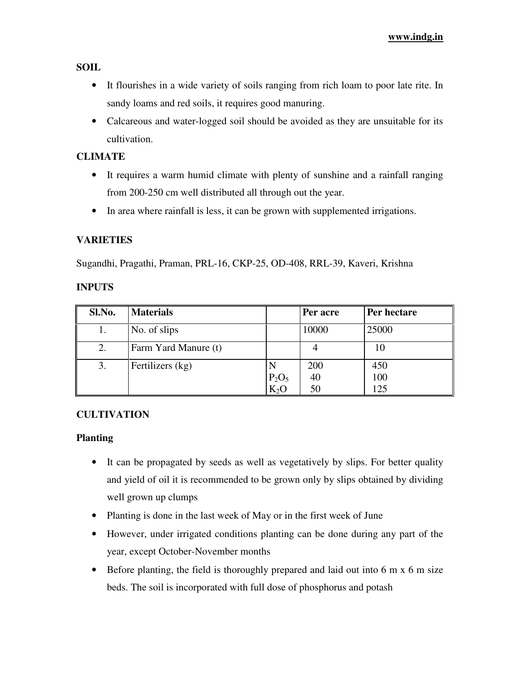**SOIL**

- It flourishes in a wide variety of soils ranging from rich loam to poor late rite. In sandy loams and red soils, it requires good manuring.
- Calcareous and water-logged soil should be avoided as they are unsuitable for its cultivation.

## **CLIMATE**

- It requires a warm humid climate with plenty of sunshine and a rainfall ranging from 200-250 cm well distributed all through out the year.
- In area where rainfall is less, it can be grown with supplemented irrigations.

## **VARIETIES**

Sugandhi, Pragathi, Praman, PRL-16, CKP-25, OD-408, RRL-39, Kaveri, Krishna

#### **INPUTS**

| Sl.No. | <b>Materials</b>     |          | Per acre | Per hectare |
|--------|----------------------|----------|----------|-------------|
|        | No. of slips         |          | 10000    | 25000       |
| 2.     | Farm Yard Manure (t) |          |          | 10          |
| 3.     | Fertilizers (kg)     |          | 200      | 450         |
|        |                      | $P_2O_5$ | 40       | 100         |
|        |                      | $K_2O$   | 50       | 125         |

#### **CULTIVATION**

#### **Planting**

- It can be propagated by seeds as well as vegetatively by slips. For better quality and yield of oil it is recommended to be grown only by slips obtained by dividing well grown up clumps
- Planting is done in the last week of May or in the first week of June
- However, under irrigated conditions planting can be done during any part of the year, except October-November months
- Before planting, the field is thoroughly prepared and laid out into 6 m x 6 m size beds. The soil is incorporated with full dose of phosphorus and potash